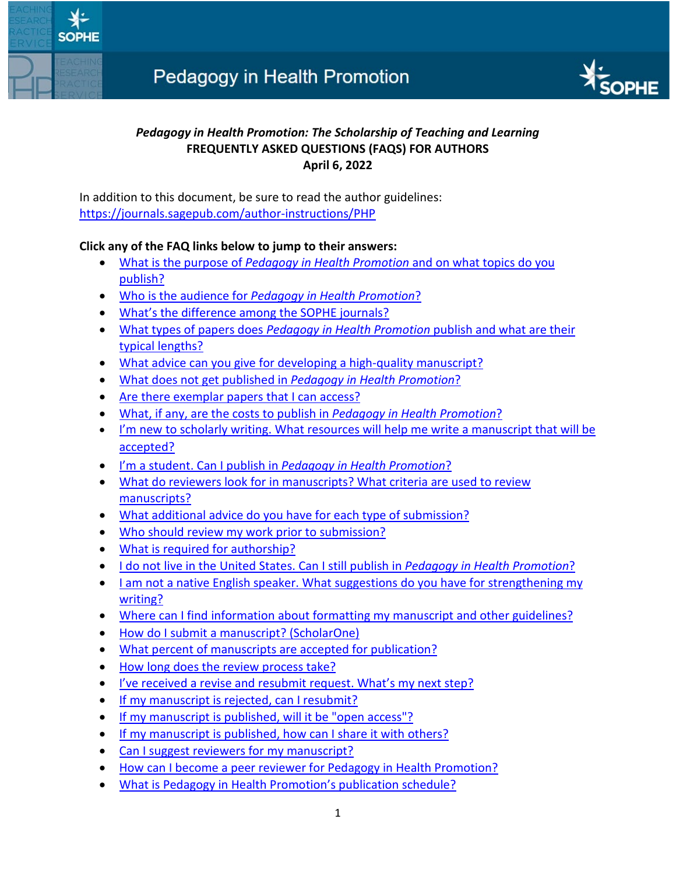

# *Pedagogy in Health Promotion: The Scholarship of Teaching and Learning* **FREQUENTLY ASKED QUESTIONS (FAQS) FOR AUTHORS April 6, 2022**

In addition to this document, be sure to read the author guidelines: <https://journals.sagepub.com/author-instructions/PHP>

## **Click any of the FAQ links below to jump to their answers:**

- What is the purpose of *[Pedagogy in Health Promotion](#page-1-0)* and on what topics do you [publish?](#page-1-0)
- Who is the audience for *[Pedagogy in Health Promotion](#page-1-1)*?
- [What's the difference among the SOPHE journals?](#page-1-2)
- What types of papers does *[Pedagogy in Health Promotion](#page-1-3)* publish and what are their [typical lengths?](#page-1-3)
- [What advice can you give for developing a high-quality manuscript?](#page-2-0)
- [What does not get published in](#page-2-1) *Pedagogy in Health Promotion*?
- [Are there exemplar papers that I can access?](#page-2-2)
- [What, if any, are the costs to publish in](#page-2-3) *Pedagogy in Health Promotion*?
- [I'm new to scholarly writing. What resources will help me write a manuscript that will be](#page-2-4)  [accepted?](#page-2-4)
- I'm a student. Can I publish in *[Pedagogy in Health Promotion](#page-3-0)*?
- [What do reviewers look for in manuscripts? What criteria are used to review](#page-3-1)  [manuscripts?](#page-3-1)
- [What additional advice do you have for each type of submission?](#page-4-0)
- [Who should review my work prior to submission?](#page-4-1)
- [What is required for authorship?](#page-4-2)
- [I do not live in the United States. Can I still publish in](#page-5-0) *Pedagogy in Health Promotion*?
- [I am not a native English speaker. What suggestions](#page-5-1) do you have for strengthening my [writing?](#page-5-1)
- [Where can I find information about formatting my manuscript and other guidelines?](#page-5-2)
- [How do I submit a manuscript? \(ScholarOne\)](#page-5-3)
- [What percent of manuscripts are accepted for publication?](#page-5-4)
- [How long does the review process take?](#page-5-5)
- [I've received a revise and resubmit request. What's my next step?](#page-6-0)
- [If my manuscript is rejected, can I resubmit?](#page-6-1)
- [If my manuscript is published, will it be "open access"?](#page-6-2)
- [If my manuscript is published, how can I share it with others?](#page-6-3)
- [Can I suggest reviewers for my manuscript?](#page-6-4)
- [How can I become a peer reviewer for Pedagogy in Health Promotion?](#page-6-5)
- [What is Pedagogy in Health Promotion's publication schedule?](#page-7-0)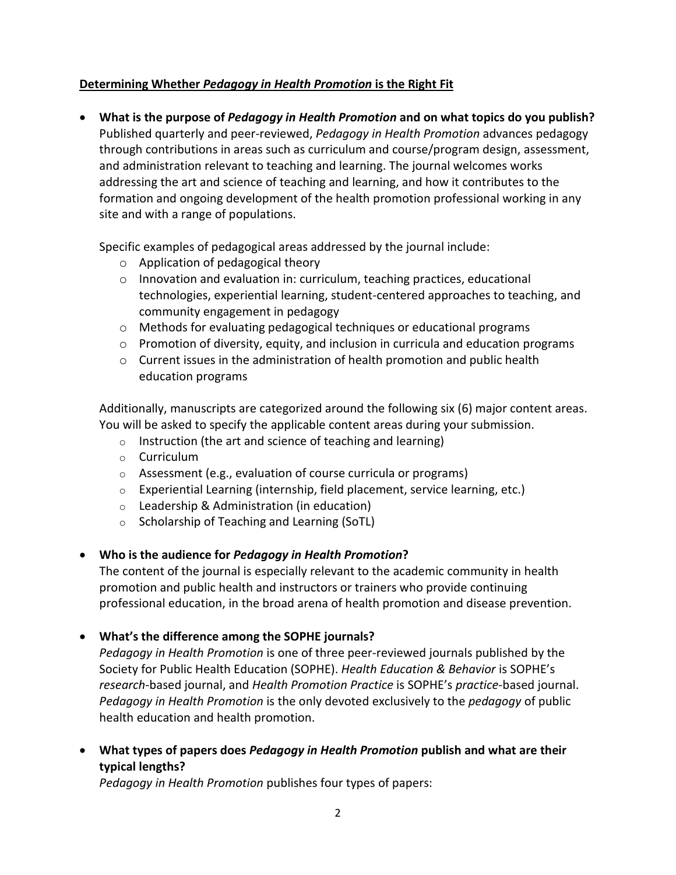### **Determining Whether** *Pedagogy in Health Promotion* **is the Right Fit**

<span id="page-1-0"></span>• **What is the purpose of** *Pedagogy in Health Promotion* **and on what topics do you publish?**  Published quarterly and peer-reviewed, *Pedagogy in Health Promotion* advances pedagogy through contributions in areas such as curriculum and course/program design, assessment, and administration relevant to teaching and learning. The journal welcomes works addressing the art and science of teaching and learning, and how it contributes to the formation and ongoing development of the health promotion professional working in any site and with a range of populations.

Specific examples of pedagogical areas addressed by the journal include:

- o Application of pedagogical theory
- o Innovation and evaluation in: curriculum, teaching practices, educational technologies, experiential learning, student-centered approaches to teaching, and community engagement in pedagogy
- o Methods for evaluating pedagogical techniques or educational programs
- $\circ$  Promotion of diversity, equity, and inclusion in curricula and education programs
- $\circ$  Current issues in the administration of health promotion and public health education programs

Additionally, manuscripts are categorized around the following six (6) major content areas. You will be asked to specify the applicable content areas during your submission.

- o Instruction (the art and science of teaching and learning)
- o Curriculum
- o Assessment (e.g., evaluation of course curricula or programs)
- $\circ$  Experiential Learning (internship, field placement, service learning, etc.)
- o Leadership & Administration (in education)
- o Scholarship of Teaching and Learning (SoTL)

#### <span id="page-1-1"></span>• **Who is the audience for** *Pedagogy in Health Promotion***?**

The content of the journal is especially relevant to the academic community in health promotion and public health and instructors or trainers who provide continuing professional education, in the broad arena of health promotion and disease prevention.

<span id="page-1-2"></span>• **What's the difference among the SOPHE journals?** 

*Pedagogy in Health Promotion* is one of three peer-reviewed journals published by the Society for Public Health Education (SOPHE). *Health Education & Behavior* is SOPHE's *research-*based journal, and *Health Promotion Practice* is SOPHE's *practice-*based journal. *Pedagogy in Health Promotion* is the only devoted exclusively to the *pedagogy* of public health education and health promotion.

<span id="page-1-3"></span>• **What types of papers does** *Pedagogy in Health Promotion* **publish and what are their typical lengths?** 

*Pedagogy in Health Promotion* publishes four types of papers: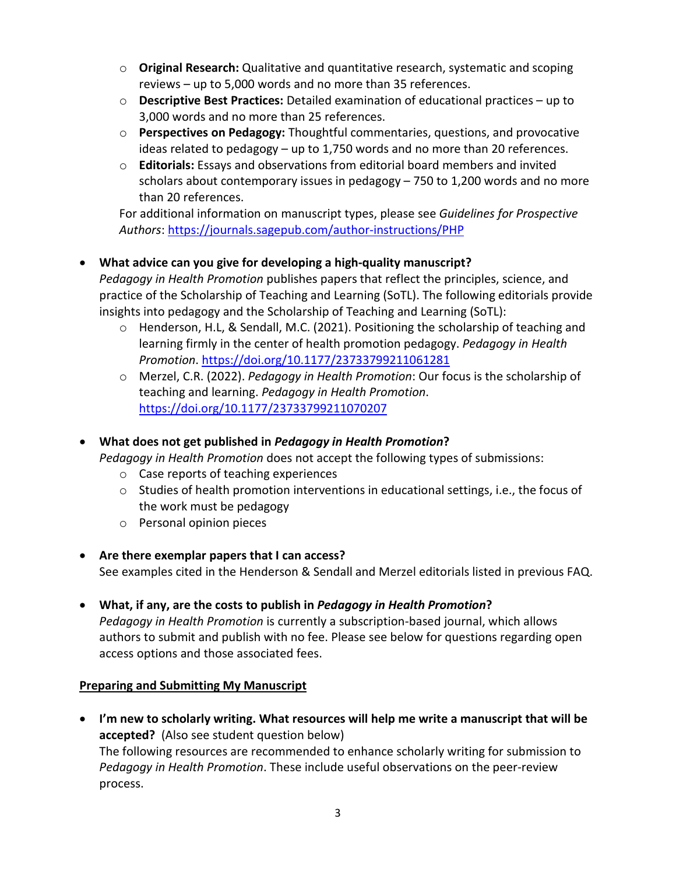- o **Original Research:** Qualitative and quantitative research, systematic and scoping reviews – up to 5,000 words and no more than 35 references.
- o **Descriptive Best Practices:** Detailed examination of educational practices up to 3,000 words and no more than 25 references.
- o **Perspectives on Pedagogy:** Thoughtful commentaries, questions, and provocative ideas related to pedagogy – up to 1,750 words and no more than 20 references.
- o **Editorials:** Essays and observations from editorial board members and invited scholars about contemporary issues in pedagogy – 750 to 1,200 words and no more than 20 references.

For additional information on manuscript types, please see *Guidelines for Prospective Authors*:<https://journals.sagepub.com/author-instructions/PHP>

## <span id="page-2-0"></span>• **What advice can you give for developing a high-quality manuscript?**

*Pedagogy in Health Promotion* publishes papers that reflect the principles, science, and practice of the Scholarship of Teaching and Learning (SoTL). The following editorials provide insights into pedagogy and the Scholarship of Teaching and Learning (SoTL):

- o Henderson, H.L, & Sendall, M.C. (2021). Positioning the scholarship of teaching and learning firmly in the center of health promotion pedagogy. *Pedagogy in Health Promotion*. [https://doi.org/10.1177/23733799211061281](https://doi.org/10.1177%2F23733799211061281)
- o Merzel, C.R. (2022). *Pedagogy in Health Promotion*: Our focus is the scholarship of teaching and learning. *Pedagogy in Health Promotion*. [https://doi.org/10.1177/23733799211070207](https://doi.org/10.1177%2F23733799211070207)

# <span id="page-2-1"></span>• **What does not get published in** *Pedagogy in Health Promotion***?**

*Pedagogy in Health Promotion* does not accept the following types of submissions:

- o Case reports of teaching experiences
- $\circ$  Studies of health promotion interventions in educational settings, i.e., the focus of the work must be pedagogy
- o Personal opinion pieces
- <span id="page-2-2"></span>• **Are there exemplar papers that I can access?**  See examples cited in the Henderson & Sendall and Merzel editorials listed in previous FAQ.
- <span id="page-2-3"></span>• **What, if any, are the costs to publish in** *Pedagogy in Health Promotion***?**  *Pedagogy in Health Promotion* is currently a subscription-based journal, which allows authors to submit and publish with no fee. Please see below for questions regarding open access options and those associated fees.

### **Preparing and Submitting My Manuscript**

<span id="page-2-4"></span>• **I'm new to scholarly writing. What resources will help me write a manuscript that will be accepted?** (Also see student question below) The following resources are recommended to enhance scholarly writing for submission to *Pedagogy in Health Promotion*. These include useful observations on the peer-review process.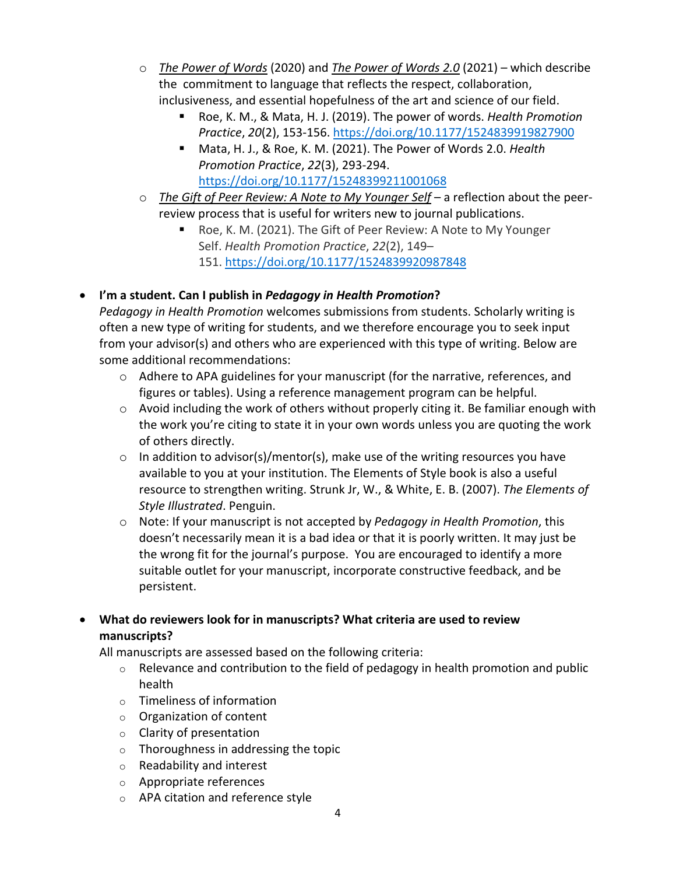- o *[The Power of Words](https://journals.sagepub.com/doi/full/10.1177/1524839919827900)* (2020) and *[The Power of Words 2.0](https://journals.sagepub.com/doi/full/10.1177/15248399211001068)* (2021) which describe the commitment to language that reflects the respect, collaboration, inclusiveness, and essential hopefulness of the art and science of our field.
	- Roe, K. M., & Mata, H. J. (2019). The power of words. *Health Promotion Practice*, *20*(2), 153-156. [https://doi.org/10.1177/1524839919827900](https://doi.org/10.1177%2F1524839919827900)
	- Mata, H. J., & Roe, K. M. (2021). The Power of Words 2.0. *Health Promotion Practice*, *22*(3), 293-294. [https://doi.org/10.1177/15248399211001068](https://doi.org/10.1177%2F15248399211001068)
- o *[The Gift of Peer Review: A Note to My Younger Self](https://journals.sagepub.com/doi/full/10.1177/1524839920987848)* a reflection about the peerreview process that is useful for writers new to journal publications.
	- Roe, K. M. (2021). The Gift of Peer Review: A Note to My Younger Self. *Health Promotion Practice*, *22*(2), 149– 151. <https://doi.org/10.1177/1524839920987848>

# <span id="page-3-0"></span>• **I'm a student. Can I publish in** *Pedagogy in Health Promotion***?**

*Pedagogy in Health Promotion* welcomes submissions from students. Scholarly writing is often a new type of writing for students, and we therefore encourage you to seek input from your advisor(s) and others who are experienced with this type of writing. Below are some additional recommendations:

- o Adhere to APA guidelines for your manuscript (for the narrative, references, and figures or tables). Using a reference management program can be helpful.
- $\circ$  Avoid including the work of others without properly citing it. Be familiar enough with the work you're citing to state it in your own words unless you are quoting the work of others directly.
- $\circ$  In addition to advisor(s)/mentor(s), make use of the writing resources you have available to you at your institution. The Elements of Style book is also a useful resource to strengthen writing. Strunk Jr, W., & White, E. B. (2007). *The Elements of Style Illustrated*. Penguin.
- o Note: If your manuscript is not accepted by *Pedagogy in Health Promotion*, this doesn't necessarily mean it is a bad idea or that it is poorly written. It may just be the wrong fit for the journal's purpose. You are encouraged to identify a more suitable outlet for your manuscript, incorporate constructive feedback, and be persistent.

# <span id="page-3-1"></span>• **What do reviewers look for in manuscripts? What criteria are used to review manuscripts?**

All manuscripts are assessed based on the following criteria:

- $\circ$  Relevance and contribution to the field of pedagogy in health promotion and public health
- o Timeliness of information
- o Organization of content
- o Clarity of presentation
- o Thoroughness in addressing the topic
- o Readability and interest
- o Appropriate references
- o APA citation and reference style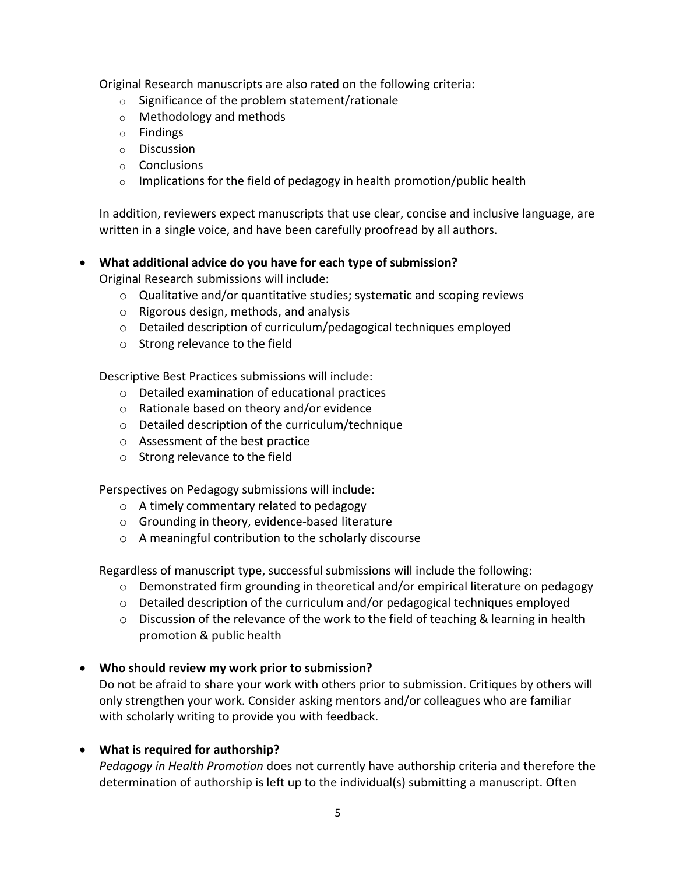Original Research manuscripts are also rated on the following criteria:

- $\circ$  Significance of the problem statement/rationale
- o Methodology and methods
- o Findings
- o Discussion
- o Conclusions
- $\circ$  Implications for the field of pedagogy in health promotion/public health

In addition, reviewers expect manuscripts that use clear, concise and inclusive language, are written in a single voice, and have been carefully proofread by all authors.

### <span id="page-4-0"></span>• **What additional advice do you have for each type of submission?**

Original Research submissions will include:

- o Qualitative and/or quantitative studies; systematic and scoping reviews
- o Rigorous design, methods, and analysis
- o Detailed description of curriculum/pedagogical techniques employed
- o Strong relevance to the field

Descriptive Best Practices submissions will include:

- o Detailed examination of educational practices
- o Rationale based on theory and/or evidence
- o Detailed description of the curriculum/technique
- o Assessment of the best practice
- o Strong relevance to the field

Perspectives on Pedagogy submissions will include:

- o A timely commentary related to pedagogy
- o Grounding in theory, evidence-based literature
- o A meaningful contribution to the scholarly discourse

Regardless of manuscript type, successful submissions will include the following:

- $\circ$  Demonstrated firm grounding in theoretical and/or empirical literature on pedagogy
- $\circ$  Detailed description of the curriculum and/or pedagogical techniques employed
- o Discussion of the relevance of the work to the field of teaching & learning in health promotion & public health

### <span id="page-4-1"></span>• **Who should review my work prior to submission?**

Do not be afraid to share your work with others prior to submission. Critiques by others will only strengthen your work. Consider asking mentors and/or colleagues who are familiar with scholarly writing to provide you with feedback.

# <span id="page-4-2"></span>• **What is required for authorship?**

*Pedagogy in Health Promotion* does not currently have authorship criteria and therefore the determination of authorship is left up to the individual(s) submitting a manuscript. Often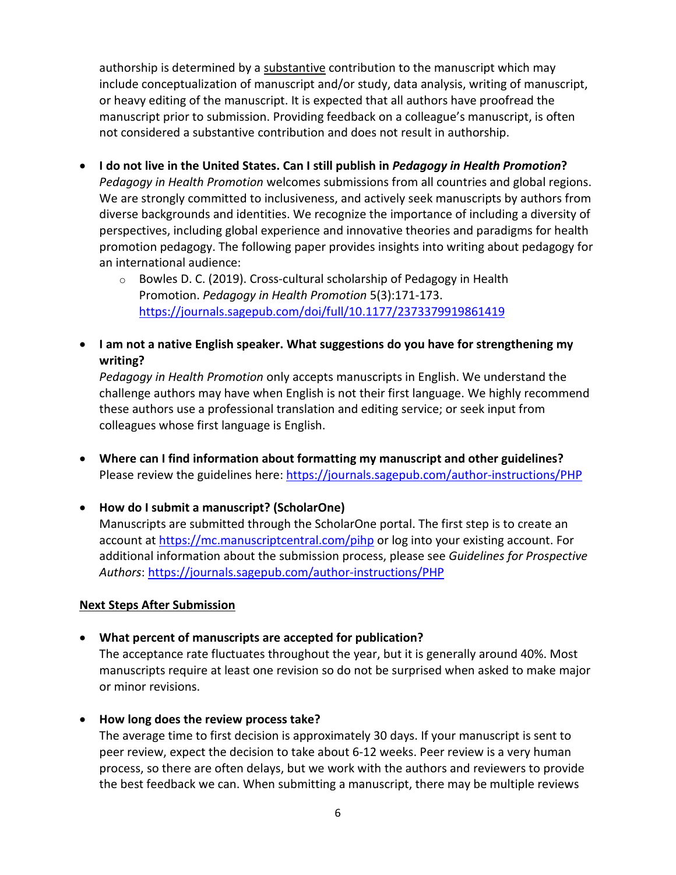authorship is determined by a substantive contribution to the manuscript which may include conceptualization of manuscript and/or study, data analysis, writing of manuscript, or heavy editing of the manuscript. It is expected that all authors have proofread the manuscript prior to submission. Providing feedback on a colleague's manuscript, is often not considered a substantive contribution and does not result in authorship.

- <span id="page-5-0"></span>• **I do not live in the United States. Can I still publish in** *Pedagogy in Health Promotion***?** *Pedagogy in Health Promotion* welcomes submissions from all countries and global regions. We are strongly committed to inclusiveness, and actively seek manuscripts by authors from diverse backgrounds and identities. We recognize the importance of including a diversity of perspectives, including global experience and innovative theories and paradigms for health promotion pedagogy. The following paper provides insights into writing about pedagogy for an international audience:
	- o Bowles D. C. (2019). Cross-cultural scholarship of Pedagogy in Health Promotion. *Pedagogy in Health Promotion* 5(3):171-173. <https://journals.sagepub.com/doi/full/10.1177/2373379919861419>
- <span id="page-5-1"></span>• **I am not a native English speaker. What suggestions do you have for strengthening my writing?**

*Pedagogy in Health Promotion* only accepts manuscripts in English. We understand the challenge authors may have when English is not their first language. We highly recommend these authors use a professional translation and editing service; or seek input from colleagues whose first language is English.

- <span id="page-5-2"></span>• **Where can I find information about formatting my manuscript and other guidelines?**  Please review the guidelines here:<https://journals.sagepub.com/author-instructions/PHP>
- <span id="page-5-3"></span>• **How do I submit a manuscript? (ScholarOne)** Manuscripts are submitted through the ScholarOne portal. The first step is to create an account at<https://mc.manuscriptcentral.com/pihp> or log into your existing account. For additional information about the submission process, please see *Guidelines for Prospective Authors*:<https://journals.sagepub.com/author-instructions/PHP>

#### **Next Steps After Submission**

<span id="page-5-4"></span>• **What percent of manuscripts are accepted for publication?** 

The acceptance rate fluctuates throughout the year, but it is generally around 40%. Most manuscripts require at least one revision so do not be surprised when asked to make major or minor revisions.

<span id="page-5-5"></span>• **How long does the review process take?** 

The average time to first decision is approximately 30 days. If your manuscript is sent to peer review, expect the decision to take about 6-12 weeks. Peer review is a very human process, so there are often delays, but we work with the authors and reviewers to provide the best feedback we can. When submitting a manuscript, there may be multiple reviews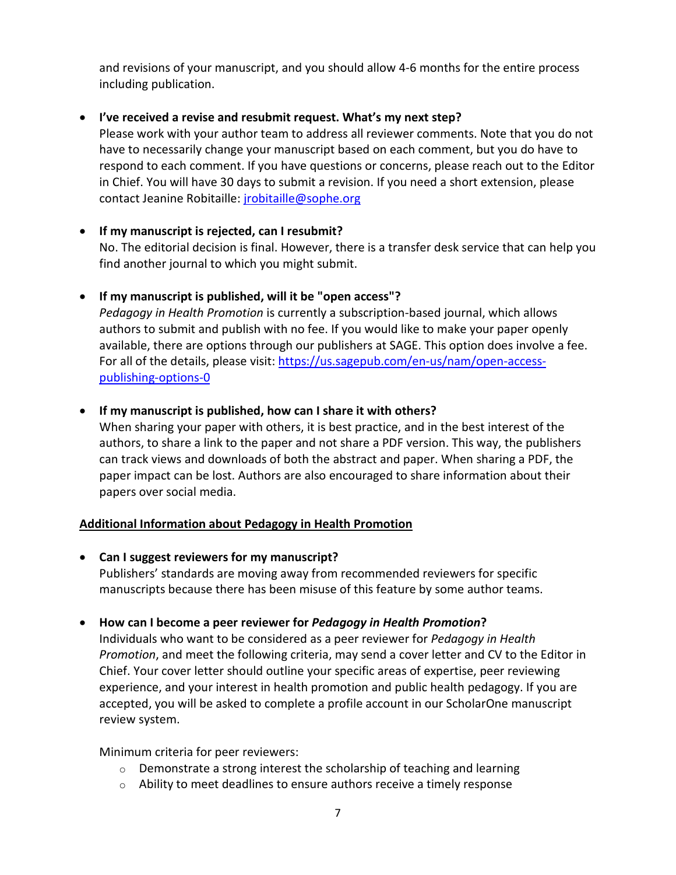and revisions of your manuscript, and you should allow 4-6 months for the entire process including publication.

### <span id="page-6-0"></span>• **I've received a revise and resubmit request. What's my next step?**

Please work with your author team to address all reviewer comments. Note that you do not have to necessarily change your manuscript based on each comment, but you do have to respond to each comment. If you have questions or concerns, please reach out to the Editor in Chief. You will have 30 days to submit a revision. If you need a short extension, please contact Jeanine Robitaille[: jrobitaille@sophe.org](mailto:jrobitaille@sophe.org)

## <span id="page-6-1"></span>• **If my manuscript is rejected, can I resubmit?**

No. The editorial decision is final. However, there is a transfer desk service that can help you find another journal to which you might submit.

## <span id="page-6-2"></span>• **If my manuscript is published, will it be "open access"?**

*Pedagogy in Health Promotion* is currently a subscription-based journal, which allows authors to submit and publish with no fee. If you would like to make your paper openly available, there are options through our publishers at SAGE. This option does involve a fee. For all of the details, please visit: [https://us.sagepub.com/en-us/nam/open-access](https://us.sagepub.com/en-us/nam/open-access-publishing-options-0)[publishing-options-0](https://us.sagepub.com/en-us/nam/open-access-publishing-options-0)

## <span id="page-6-3"></span>• **If my manuscript is published, how can I share it with others?**

When sharing your paper with others, it is best practice, and in the best interest of the authors, to share a link to the paper and not share a PDF version. This way, the publishers can track views and downloads of both the abstract and paper. When sharing a PDF, the paper impact can be lost. Authors are also encouraged to share information about their papers over social media.

### **Additional Information about Pedagogy in Health Promotion**

<span id="page-6-4"></span>• **Can I suggest reviewers for my manuscript?**  Publishers' standards are moving away from recommended reviewers for specific manuscripts because there has been misuse of this feature by some author teams.

# <span id="page-6-5"></span>• **How can I become a peer reviewer for** *Pedagogy in Health Promotion***?**

Individuals who want to be considered as a peer reviewer for *Pedagogy in Health Promotion*, and meet the following criteria, may send a cover letter and CV to the Editor in Chief. Your cover letter should outline your specific areas of expertise, peer reviewing experience, and your interest in health promotion and public health pedagogy. If you are accepted, you will be asked to complete a profile account in our ScholarOne manuscript review system.

Minimum criteria for peer reviewers:

- $\circ$  Demonstrate a strong interest the scholarship of teaching and learning
- $\circ$  Ability to meet deadlines to ensure authors receive a timely response